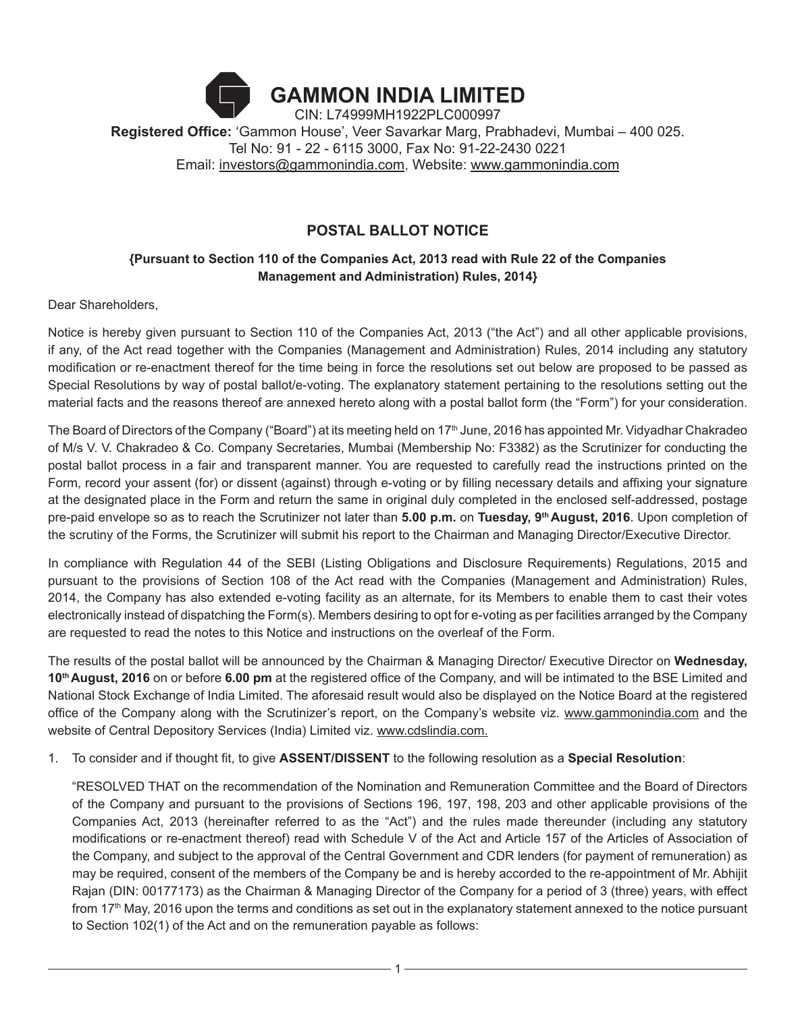# **GAMMON INDIA LIMITED** CIN: L74999MH1922PLC000997 **Registered Office:** 'Gammon House', Veer Savarkar Marg, Prabhadevi, Mumbai – 400 025. Tel No: 91 - 22 - 6115 3000, Fax No: 91-22-2430 0221 Email: investors@gammonindia.com, Website: www.gammonindia.com

## **POSTAL BALLOT NOTICE**

## **{Pursuant to Section 110 of the Companies Act, 2013 read with Rule 22 of the Companies Management and Administration) Rules, 2014}**

Dear Shareholders,

Notice is hereby given pursuant to Section 110 of the Companies Act, 2013 ("the Act") and all other applicable provisions, if any, of the Act read together with the Companies (Management and Administration) Rules, 2014 including any statutory modification or re-enactment thereof for the time being in force the resolutions set out below are proposed to be passed as Special Resolutions by way of postal ballot/e-voting. The explanatory statement pertaining to the resolutions setting out the material facts and the reasons thereof are annexed hereto along with a postal ballot form (the "Form") for your consideration.

The Board of Directors of the Company ("Board") at its meeting held on 17<sup>th</sup> June, 2016 has appointed Mr. Vidyadhar Chakradeo of M/s V. V. Chakradeo & Co. Company Secretaries, Mumbai (Membership No: F3382) as the Scrutinizer for conducting the postal ballot process in a fair and transparent manner. You are requested to carefully read the instructions printed on the Form, record your assent (for) or dissent (against) through e-voting or by filling necessary details and affixing your signature at the designated place in the Form and return the same in original duly completed in the enclosed self-addressed, postage pre-paid envelope so as to reach the Scrutinizer not later than **5.00 p.m.** on **Tuesday, 9th August, 2016**. Upon completion of the scrutiny of the Forms, the Scrutinizer will submit his report to the Chairman and Managing Director/Executive Director.

In compliance with Regulation 44 of the SEBI (Listing Obligations and Disclosure Requirements) Regulations, 2015 and pursuant to the provisions of Section 108 of the Act read with the Companies (Management and Administration) Rules, 2014, the Company has also extended e-voting facility as an alternate, for its Members to enable them to cast their votes electronically instead of dispatching the Form(s). Members desiring to opt for e-voting as per facilities arranged by the Company are requested to read the notes to this Notice and instructions on the overleaf of the Form.

The results of the postal ballot will be announced by the Chairman & Managing Director/ Executive Director on **Wednesday, 10th August, 2016** on or before **6.00 pm** at the registered office of the Company, and will be intimated to the BSE Limited and National Stock Exchange of India Limited. The aforesaid result would also be displayed on the Notice Board at the registered office of the Company along with the Scrutinizer's report, on the Company's website viz. www.gammonindia.com and the website of Central Depository Services (India) Limited viz. www.cdslindia.com.

### 1. To consider and if thought fit, to give **ASSENT/DISSENT** to the following resolution as a **Special Resolution**:

"RESOLVED THAT on the recommendation of the Nomination and Remuneration Committee and the Board of Directors of the Company and pursuant to the provisions of Sections 196, 197, 198, 203 and other applicable provisions of the Companies Act, 2013 (hereinafter referred to as the "Act") and the rules made thereunder (including any statutory modifications or re-enactment thereof) read with Schedule V of the Act and Article 157 of the Articles of Association of the Company, and subject to the approval of the Central Government and CDR lenders (for payment of remuneration) as may be required, consent of the members of the Company be and is hereby accorded to the re-appointment of Mr. Abhijit Rajan (DIN: 00177173) as the Chairman & Managing Director of the Company for a period of 3 (three) years, with effect from 17<sup>th</sup> May, 2016 upon the terms and conditions as set out in the explanatory statement annexed to the notice pursuant to Section 102(1) of the Act and on the remuneration payable as follows: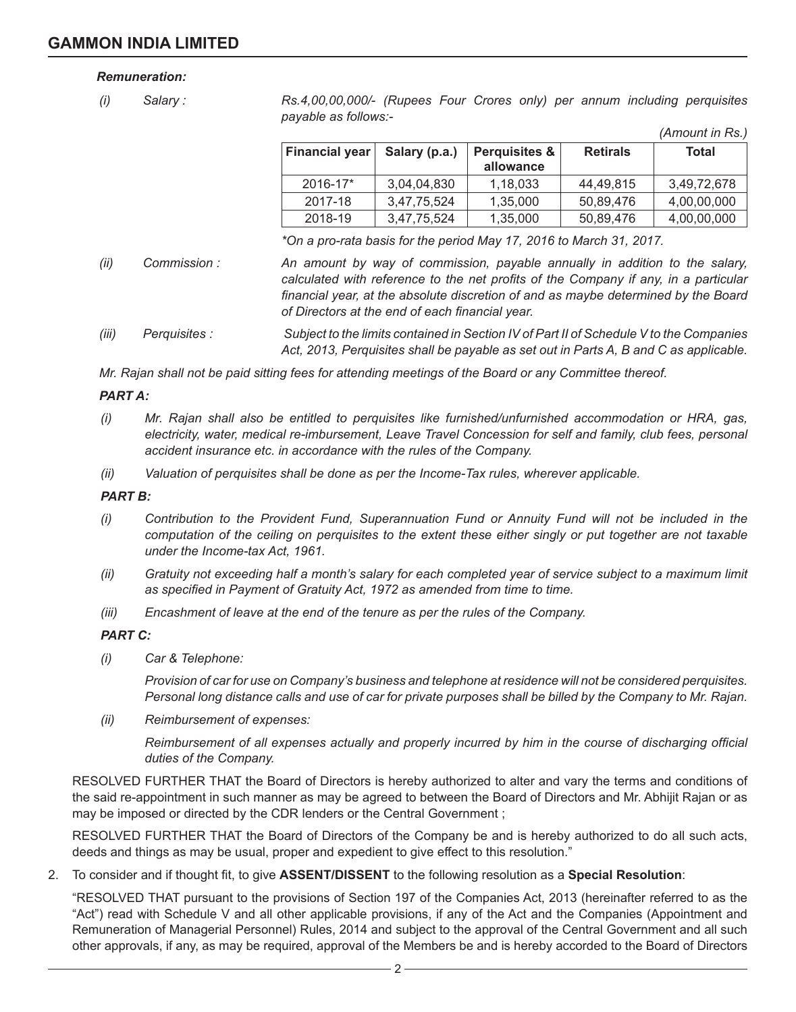### *Remuneration:*

*(i) Salary : Rs.4,00,00,000/- (Rupees Four Crores only) per annum including perquisites payable as follows:-*

| <b>Financial year</b> | Salary (p.a.) | <b>Perquisites &amp;</b> | <b>Retirals</b> | Total       |
|-----------------------|---------------|--------------------------|-----------------|-------------|
|                       |               | allowance                |                 |             |
| $2016 - 17*$          | 3.04.04.830   | 1,18,033                 | 44,49,815       | 3.49.72.678 |
| 2017-18               | 3,47,75,524   | 1,35,000                 | 50.89.476       | 4,00,00,000 |
| 2018-19               | 3,47,75,524   | 1,35,000                 | 50,89,476       | 4,00,00,000 |

*(Amount in Rs.)*

*\*On a pro-rata basis for the period May 17, 2016 to March 31, 2017.*

- *(ii) Commission : An amount by way of commission, payable annually in addition to the salary, calculated with reference to the net profits of the Company if any, in a particular financial year, at the absolute discretion of and as maybe determined by the Board of Directors at the end of each financial year.*
- *(iii) Perquisites : Subject to the limits contained in Section IV of Part II of Schedule V to the Companies Act, 2013, Perquisites shall be payable as set out in Parts A, B and C as applicable.*

*Mr. Rajan shall not be paid sitting fees for attending meetings of the Board or any Committee thereof.*

### *PART A:*

- *(i) Mr. Rajan shall also be entitled to perquisites like furnished/unfurnished accommodation or HRA, gas, electricity, water, medical re-imbursement, Leave Travel Concession for self and family, club fees, personal accident insurance etc. in accordance with the rules of the Company.*
- *(ii) Valuation of perquisites shall be done as per the Income-Tax rules, wherever applicable.*

#### *PART B:*

- *(i) Contribution to the Provident Fund, Superannuation Fund or Annuity Fund will not be included in the computation of the ceiling on perquisites to the extent these either singly or put together are not taxable under the Income-tax Act, 1961.*
- *(ii) Gratuity not exceeding half a month's salary for each completed year of service subject to a maximum limit as specified in Payment of Gratuity Act, 1972 as amended from time to time.*
- *(iii) Encashment of leave at the end of the tenure as per the rules of the Company.*

#### *PART C:*

*(i) Car & Telephone:*

 *Provision of car for use on Company's business and telephone at residence will not be considered perquisites. Personal long distance calls and use of car for private purposes shall be billed by the Company to Mr. Rajan.*

*(ii) Reimbursement of expenses:*

*Reimbursement of all expenses actually and properly incurred by him in the course of discharging official duties of the Company.*

RESOLVED FURTHER THAT the Board of Directors is hereby authorized to alter and vary the terms and conditions of the said re-appointment in such manner as may be agreed to between the Board of Directors and Mr. Abhijit Rajan or as may be imposed or directed by the CDR lenders or the Central Government ;

RESOLVED FURTHER THAT the Board of Directors of the Company be and is hereby authorized to do all such acts, deeds and things as may be usual, proper and expedient to give effect to this resolution."

2. To consider and if thought fit, to give **ASSENT/DISSENT** to the following resolution as a **Special Resolution**:

"RESOLVED THAT pursuant to the provisions of Section 197 of the Companies Act, 2013 (hereinafter referred to as the "Act") read with Schedule V and all other applicable provisions, if any of the Act and the Companies (Appointment and Remuneration of Managerial Personnel) Rules, 2014 and subject to the approval of the Central Government and all such other approvals, if any, as may be required, approval of the Members be and is hereby accorded to the Board of Directors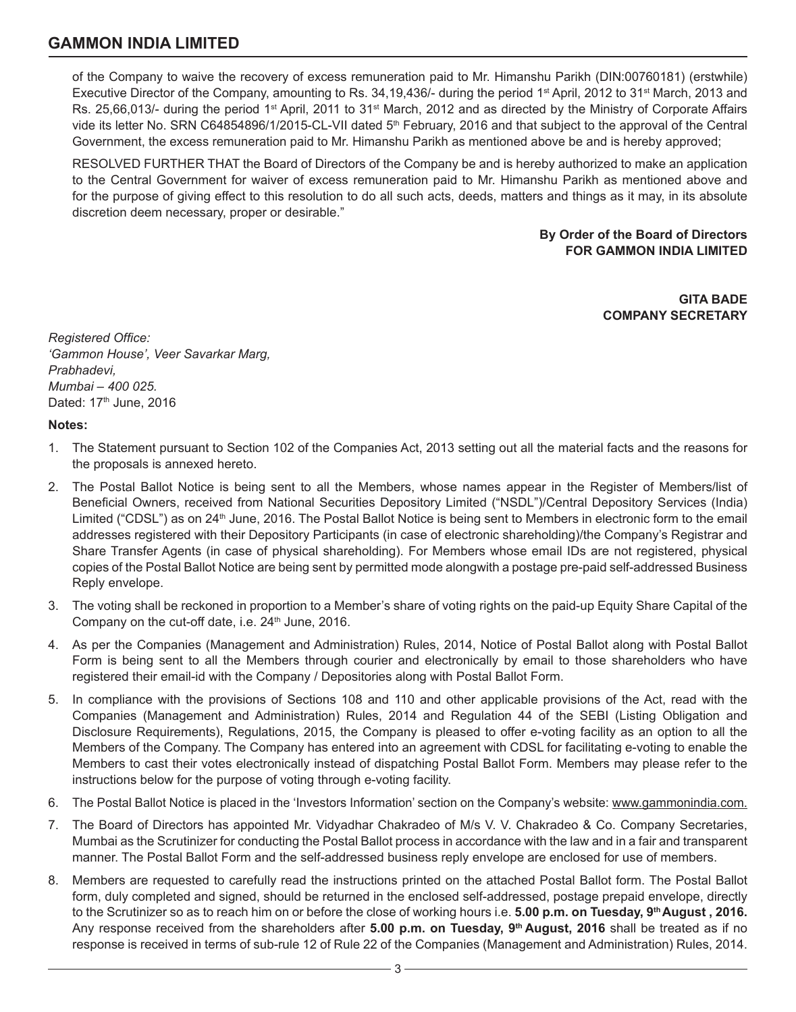of the Company to waive the recovery of excess remuneration paid to Mr. Himanshu Parikh (DIN:00760181) (erstwhile) Executive Director of the Company, amounting to Rs. 34,19,436/- during the period 1st April, 2012 to 31st March, 2013 and Rs. 25,66,013/- during the period 1<sup>st</sup> April, 2011 to 31<sup>st</sup> March, 2012 and as directed by the Ministry of Corporate Affairs vide its letter No. SRN C64854896/1/2015-CL-VII dated 5<sup>th</sup> February, 2016 and that subject to the approval of the Central Government, the excess remuneration paid to Mr. Himanshu Parikh as mentioned above be and is hereby approved;

RESOLVED FURTHER THAT the Board of Directors of the Company be and is hereby authorized to make an application to the Central Government for waiver of excess remuneration paid to Mr. Himanshu Parikh as mentioned above and for the purpose of giving effect to this resolution to do all such acts, deeds, matters and things as it may, in its absolute discretion deem necessary, proper or desirable."

> **By Order of the Board of Directors FOR GAMMON INDIA LIMITED**

> > **GITA BADE COMPANY SECRETARY**

*Registered Office: 'Gammon House', Veer Savarkar Marg, Prabhadevi, Mumbai – 400 025.* Dated: 17<sup>th</sup> June, 2016

### **Notes:**

- 1. The Statement pursuant to Section 102 of the Companies Act, 2013 setting out all the material facts and the reasons for the proposals is annexed hereto.
- 2. The Postal Ballot Notice is being sent to all the Members, whose names appear in the Register of Members/list of Beneficial Owners, received from National Securities Depository Limited ("NSDL")/Central Depository Services (India) Limited ("CDSL") as on 24<sup>th</sup> June, 2016. The Postal Ballot Notice is being sent to Members in electronic form to the email addresses registered with their Depository Participants (in case of electronic shareholding)/the Company's Registrar and Share Transfer Agents (in case of physical shareholding). For Members whose email IDs are not registered, physical copies of the Postal Ballot Notice are being sent by permitted mode alongwith a postage pre-paid self-addressed Business Reply envelope.
- 3. The voting shall be reckoned in proportion to a Member's share of voting rights on the paid-up Equity Share Capital of the Company on the cut-off date, i.e.  $24<sup>th</sup>$  June, 2016.
- 4. As per the Companies (Management and Administration) Rules, 2014, Notice of Postal Ballot along with Postal Ballot Form is being sent to all the Members through courier and electronically by email to those shareholders who have registered their email-id with the Company / Depositories along with Postal Ballot Form.
- 5. In compliance with the provisions of Sections 108 and 110 and other applicable provisions of the Act, read with the Companies (Management and Administration) Rules, 2014 and Regulation 44 of the SEBI (Listing Obligation and Disclosure Requirements), Regulations, 2015, the Company is pleased to offer e-voting facility as an option to all the Members of the Company. The Company has entered into an agreement with CDSL for facilitating e-voting to enable the Members to cast their votes electronically instead of dispatching Postal Ballot Form. Members may please refer to the instructions below for the purpose of voting through e-voting facility.
- 6. The Postal Ballot Notice is placed in the 'Investors Information' section on the Company's website: www.gammonindia.com.
- 7. The Board of Directors has appointed Mr. Vidyadhar Chakradeo of M/s V. V. Chakradeo & Co. Company Secretaries, Mumbai as the Scrutinizer for conducting the Postal Ballot process in accordance with the law and in a fair and transparent manner. The Postal Ballot Form and the self-addressed business reply envelope are enclosed for use of members.
- 8. Members are requested to carefully read the instructions printed on the attached Postal Ballot form. The Postal Ballot form, duly completed and signed, should be returned in the enclosed self-addressed, postage prepaid envelope, directly to the Scrutinizer so as to reach him on or before the close of working hours i.e. **5.00 p.m. on Tuesday, 9th August , 2016.**  Any response received from the shareholders after **5.00 p.m. on Tuesday, 9th August, 2016** shall be treated as if no response is received in terms of sub-rule 12 of Rule 22 of the Companies (Management and Administration) Rules, 2014.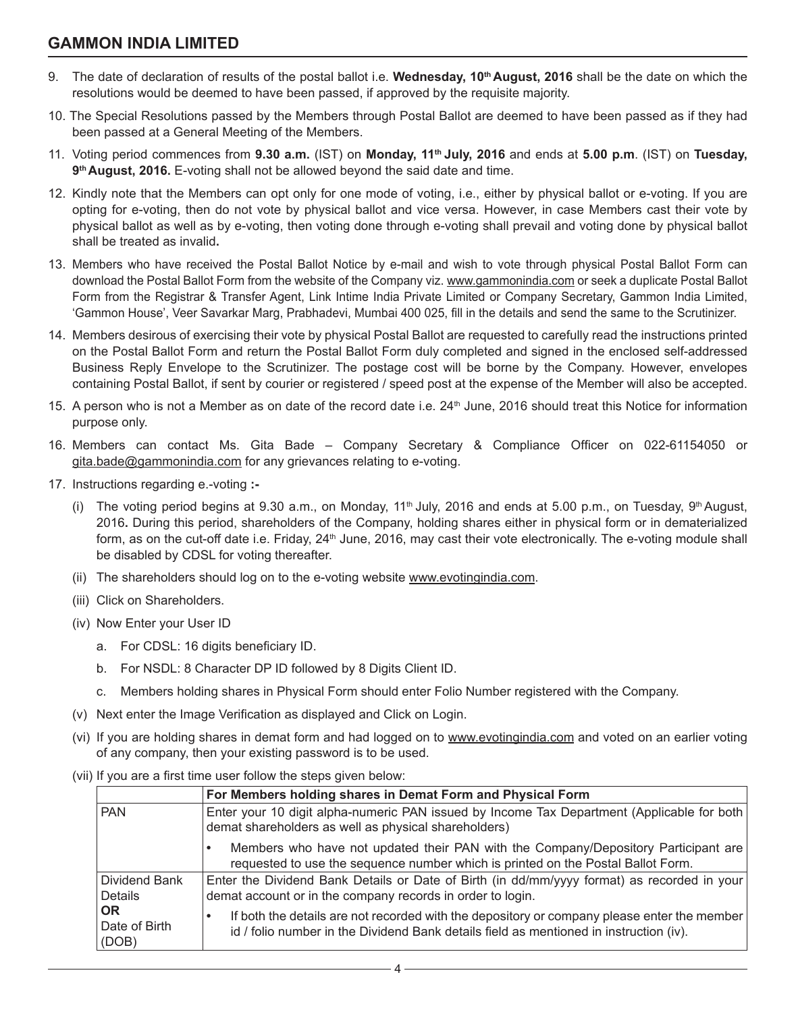- 9. The date of declaration of results of the postal ballot i.e. **Wednesday, 10th August, 2016** shall be the date on which the resolutions would be deemed to have been passed, if approved by the requisite majority.
- 10. The Special Resolutions passed by the Members through Postal Ballot are deemed to have been passed as if they had been passed at a General Meeting of the Members.
- 11. Voting period commences from **9.30 a.m.** (IST) on **Monday, 11th July, 2016** and ends at **5.00 p.m**. (IST) on **Tuesday, 9th August, 2016.** E-voting shall not be allowed beyond the said date and time.
- 12. Kindly note that the Members can opt only for one mode of voting, i.e., either by physical ballot or e-voting. If you are opting for e-voting, then do not vote by physical ballot and vice versa. However, in case Members cast their vote by physical ballot as well as by e-voting, then voting done through e-voting shall prevail and voting done by physical ballot shall be treated as invalid**.**
- 13. Members who have received the Postal Ballot Notice by e-mail and wish to vote through physical Postal Ballot Form can download the Postal Ballot Form from the website of the Company viz. www.gammonindia.com or seek a duplicate Postal Ballot Form from the Registrar & Transfer Agent, Link Intime India Private Limited or Company Secretary, Gammon India Limited, 'Gammon House', Veer Savarkar Marg, Prabhadevi, Mumbai 400 025, fill in the details and send the same to the Scrutinizer.
- 14. Members desirous of exercising their vote by physical Postal Ballot are requested to carefully read the instructions printed on the Postal Ballot Form and return the Postal Ballot Form duly completed and signed in the enclosed self-addressed Business Reply Envelope to the Scrutinizer. The postage cost will be borne by the Company. However, envelopes containing Postal Ballot, if sent by courier or registered / speed post at the expense of the Member will also be accepted.
- 15. A person who is not a Member as on date of the record date i.e. 24<sup>th</sup> June, 2016 should treat this Notice for information purpose only.
- 16. Members can contact Ms. Gita Bade Company Secretary & Compliance Officer on 022-61154050 or gita.bade@gammonindia.com for any grievances relating to e-voting.
- 17. Instructions regarding e.-voting **:-**
	- (i) The voting period begins at 9.30 a.m., on Monday, 11<sup>th</sup> July, 2016 and ends at 5.00 p.m., on Tuesday, 9<sup>th</sup> August, 2016**.** During this period, shareholders of the Company, holding shares either in physical form or in dematerialized form, as on the cut-off date i.e. Friday, 24<sup>th</sup> June, 2016, may cast their vote electronically. The e-voting module shall be disabled by CDSL for voting thereafter.
	- (ii) The shareholders should log on to the e-voting website www.evotingindia.com.
	- (iii) Click on Shareholders.
	- (iv) Now Enter your User ID
		- a. For CDSL: 16 digits beneficiary ID.
		- b. For NSDL: 8 Character DP ID followed by 8 Digits Client ID.
		- c. Members holding shares in Physical Form should enter Folio Number registered with the Company.
	- (v) Next enter the Image Verification as displayed and Click on Login.
	- (vi) If you are holding shares in demat form and had logged on to www.evotingindia.com and voted on an earlier voting of any company, then your existing password is to be used.
	- (vii) If you are a first time user follow the steps given below:

|                                     | For Members holding shares in Demat Form and Physical Form                                                                                                                            |
|-------------------------------------|---------------------------------------------------------------------------------------------------------------------------------------------------------------------------------------|
| <b>PAN</b>                          | Enter your 10 digit alpha-numeric PAN issued by Income Tax Department (Applicable for both<br>demat shareholders as well as physical shareholders)                                    |
|                                     | Members who have not updated their PAN with the Company/Depository Participant are<br>requested to use the sequence number which is printed on the Postal Ballot Form.                |
| Dividend Bank<br><b>Details</b>     | Enter the Dividend Bank Details or Date of Birth (in dd/mm/yyyy format) as recorded in your<br>demat account or in the company records in order to login.                             |
| <b>OR</b><br>Date of Birth<br>(DOB) | If both the details are not recorded with the depository or company please enter the member<br>id / folio number in the Dividend Bank details field as mentioned in instruction (iv). |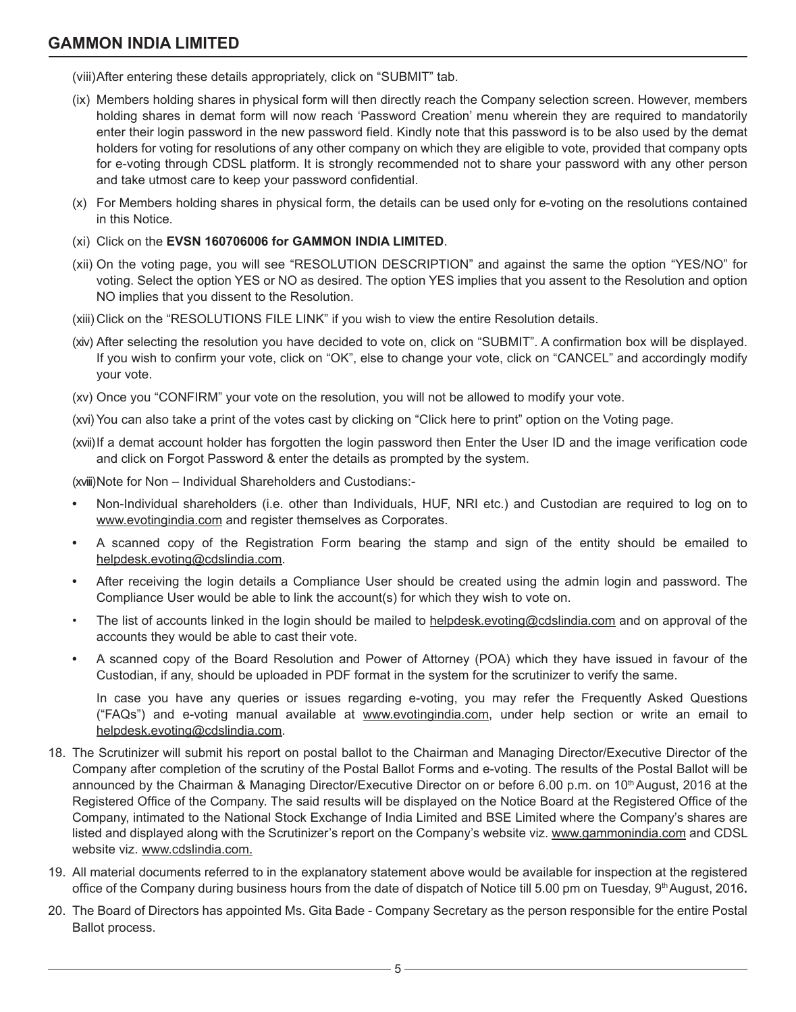(viii)After entering these details appropriately, click on "SUBMIT" tab.

- (ix) Members holding shares in physical form will then directly reach the Company selection screen. However, members holding shares in demat form will now reach 'Password Creation' menu wherein they are required to mandatorily enter their login password in the new password field. Kindly note that this password is to be also used by the demat holders for voting for resolutions of any other company on which they are eligible to vote, provided that company opts for e-voting through CDSL platform. It is strongly recommended not to share your password with any other person and take utmost care to keep your password confidential.
- (x) For Members holding shares in physical form, the details can be used only for e-voting on the resolutions contained in this Notice.
- (xi) Click on the **EVSN 160706006 for GAMMON INDIA LIMITED**.
- (xii) On the voting page, you will see "RESOLUTION DESCRIPTION" and against the same the option "YES/NO" for voting. Select the option YES or NO as desired. The option YES implies that you assent to the Resolution and option NO implies that you dissent to the Resolution.
- (xiii) Click on the "RESOLUTIONS FILE LINK" if you wish to view the entire Resolution details.
- (xiv) After selecting the resolution you have decided to vote on, click on "SUBMIT". A confirmation box will be displayed. If you wish to confirm your vote, click on "OK", else to change your vote, click on "CANCEL" and accordingly modify your vote.
- (xv) Once you "CONFIRM" your vote on the resolution, you will not be allowed to modify your vote.
- (xvi) You can also take a print of the votes cast by clicking on "Click here to print" option on the Voting page.
- (xvii)If a demat account holder has forgotten the login password then Enter the User ID and the image verification code and click on Forgot Password & enter the details as prompted by the system.

(xviii)Note for Non – Individual Shareholders and Custodians:-

- **•** Non-Individual shareholders (i.e. other than Individuals, HUF, NRI etc.) and Custodian are required to log on to www.evotingindia.com and register themselves as Corporates.
- **•** A scanned copy of the Registration Form bearing the stamp and sign of the entity should be emailed to helpdesk.evoting@cdslindia.com.
- **•** After receiving the login details a Compliance User should be created using the admin login and password. The Compliance User would be able to link the account(s) for which they wish to vote on.
- The list of accounts linked in the login should be mailed to helpdesk.evoting@cdslindia.com and on approval of the accounts they would be able to cast their vote.
- **•** A scanned copy of the Board Resolution and Power of Attorney (POA) which they have issued in favour of the Custodian, if any, should be uploaded in PDF format in the system for the scrutinizer to verify the same.

In case you have any queries or issues regarding e-voting, you may refer the Frequently Asked Questions ("FAQs") and e-voting manual available at www.evotingindia.com, under help section or write an email to helpdesk.evoting@cdslindia.com.

- 18. The Scrutinizer will submit his report on postal ballot to the Chairman and Managing Director/Executive Director of the Company after completion of the scrutiny of the Postal Ballot Forms and e-voting. The results of the Postal Ballot will be announced by the Chairman & Managing Director/Executive Director on or before 6.00 p.m. on 10th August, 2016 at the Registered Office of the Company. The said results will be displayed on the Notice Board at the Registered Office of the Company, intimated to the National Stock Exchange of India Limited and BSE Limited where the Company's shares are listed and displayed along with the Scrutinizer's report on the Company's website viz. www.gammonindia.com and CDSL website viz. www.cdslindia.com.
- 19. All material documents referred to in the explanatory statement above would be available for inspection at the registered office of the Company during business hours from the date of dispatch of Notice till 5.00 pm on Tuesday, 9<sup>th</sup> August, 2016.
- 20. The Board of Directors has appointed Ms. Gita Bade Company Secretary as the person responsible for the entire Postal Ballot process.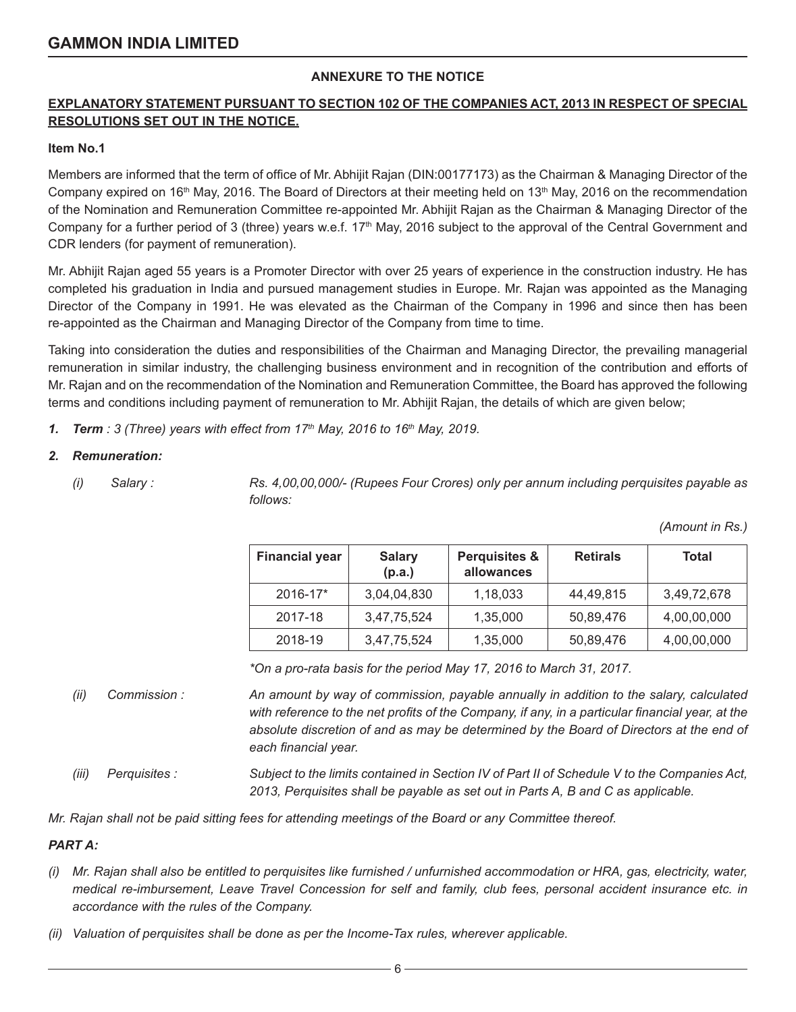## **ANNEXURE TO THE NOTICE**

## **EXPLANATORY STATEMENT PURSUANT TO SECTION 102 OF THE COMPANIES ACT, 2013 IN RESPECT OF SPECIAL RESOLUTIONS SET OUT IN THE NOTICE.**

### **Item No.1**

Members are informed that the term of office of Mr. Abhijit Rajan (DIN:00177173) as the Chairman & Managing Director of the Company expired on 16<sup>th</sup> May, 2016. The Board of Directors at their meeting held on 13<sup>th</sup> May, 2016 on the recommendation of the Nomination and Remuneration Committee re-appointed Mr. Abhijit Rajan as the Chairman & Managing Director of the Company for a further period of 3 (three) years w.e.f.  $17<sup>th</sup>$  May, 2016 subject to the approval of the Central Government and CDR lenders (for payment of remuneration).

Mr. Abhijit Rajan aged 55 years is a Promoter Director with over 25 years of experience in the construction industry. He has completed his graduation in India and pursued management studies in Europe. Mr. Rajan was appointed as the Managing Director of the Company in 1991. He was elevated as the Chairman of the Company in 1996 and since then has been re-appointed as the Chairman and Managing Director of the Company from time to time.

Taking into consideration the duties and responsibilities of the Chairman and Managing Director, the prevailing managerial remuneration in similar industry, the challenging business environment and in recognition of the contribution and efforts of Mr. Rajan and on the recommendation of the Nomination and Remuneration Committee, the Board has approved the following terms and conditions including payment of remuneration to Mr. Abhijit Rajan, the details of which are given below;

*1. Term : 3 (Three) years with effect from 17th May, 2016 to 16th May, 2019.*

### *2. Remuneration:*

*(i) Salary : Rs. 4,00,00,000/- (Rupees Four Crores) only per annum including perquisites payable as follows:*

*(Amount in Rs.)*

| <b>Financial year</b> | <b>Salary</b><br>(p.a.) | <b>Perquisites &amp;</b><br>allowances | <b>Retirals</b> | <b>Total</b> |
|-----------------------|-------------------------|----------------------------------------|-----------------|--------------|
| 2016-17*              | 3,04,04,830             | 1,18,033                               | 44,49,815       | 3,49,72,678  |
| 2017-18               | 3,47,75,524             | 1,35,000                               | 50,89,476       | 4,00,00,000  |
| 2018-19               | 3,47,75,524             | 1,35,000                               | 50,89,476       | 4,00,00,000  |

*\*On a pro-rata basis for the period May 17, 2016 to March 31, 2017.*

- *(ii) Commission : An amount by way of commission, payable annually in addition to the salary, calculated with reference to the net profits of the Company, if any, in a particular financial year, at the*  absolute discretion of and as may be determined by the Board of Directors at the end of *each financial year.*
- *(iii) Perquisites : Subject to the limits contained in Section IV of Part II of Schedule V to the Companies Act, 2013, Perquisites shall be payable as set out in Parts A, B and C as applicable.*

*Mr. Rajan shall not be paid sitting fees for attending meetings of the Board or any Committee thereof.*

## *PART A:*

- *(i) Mr. Rajan shall also be entitled to perquisites like furnished / unfurnished accommodation or HRA, gas, electricity, water, medical re-imbursement, Leave Travel Concession for self and family, club fees, personal accident insurance etc. in accordance with the rules of the Company.*
- *(ii) Valuation of perquisites shall be done as per the Income-Tax rules, wherever applicable.*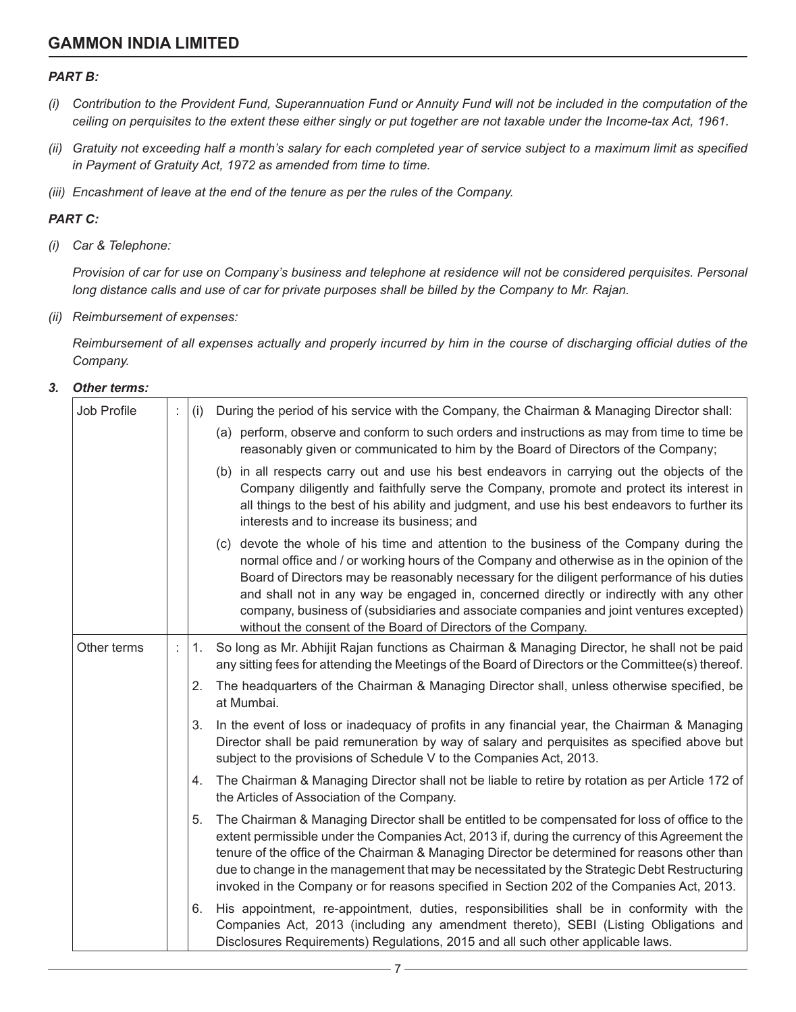### *PART B:*

- *(i) Contribution to the Provident Fund, Superannuation Fund or Annuity Fund will not be included in the computation of the ceiling on perquisites to the extent these either singly or put together are not taxable under the Income-tax Act, 1961.*
- *(ii) Gratuity not exceeding half a month's salary for each completed year of service subject to a maximum limit as specified in Payment of Gratuity Act, 1972 as amended from time to time.*
- *(iii) Encashment of leave at the end of the tenure as per the rules of the Company.*

### *PART C:*

*(i) Car & Telephone:*

*Provision of car for use on Company's business and telephone at residence will not be considered perquisites. Personal long distance calls and use of car for private purposes shall be billed by the Company to Mr. Rajan.*

*(ii) Reimbursement of expenses:*

*Reimbursement of all expenses actually and properly incurred by him in the course of discharging official duties of the Company.*

### *3. Other terms:*

| Job Profile | t | (i) | During the period of his service with the Company, the Chairman & Managing Director shall:                                                                                                                                                                                                                                                                                                                                                                                                                                                 |
|-------------|---|-----|--------------------------------------------------------------------------------------------------------------------------------------------------------------------------------------------------------------------------------------------------------------------------------------------------------------------------------------------------------------------------------------------------------------------------------------------------------------------------------------------------------------------------------------------|
|             |   |     | (a) perform, observe and conform to such orders and instructions as may from time to time be<br>reasonably given or communicated to him by the Board of Directors of the Company;                                                                                                                                                                                                                                                                                                                                                          |
|             |   |     | (b) in all respects carry out and use his best endeavors in carrying out the objects of the<br>Company diligently and faithfully serve the Company, promote and protect its interest in<br>all things to the best of his ability and judgment, and use his best endeavors to further its<br>interests and to increase its business; and                                                                                                                                                                                                    |
|             |   |     | (c) devote the whole of his time and attention to the business of the Company during the<br>normal office and / or working hours of the Company and otherwise as in the opinion of the<br>Board of Directors may be reasonably necessary for the diligent performance of his duties<br>and shall not in any way be engaged in, concerned directly or indirectly with any other<br>company, business of (subsidiaries and associate companies and joint ventures excepted)<br>without the consent of the Board of Directors of the Company. |
| Other terms | ÷ | 1.  | So long as Mr. Abhijit Rajan functions as Chairman & Managing Director, he shall not be paid<br>any sitting fees for attending the Meetings of the Board of Directors or the Committee(s) thereof.                                                                                                                                                                                                                                                                                                                                         |
|             |   | 2.  | The headquarters of the Chairman & Managing Director shall, unless otherwise specified, be<br>at Mumbai.                                                                                                                                                                                                                                                                                                                                                                                                                                   |
|             |   | 3.  | In the event of loss or inadequacy of profits in any financial year, the Chairman & Managing<br>Director shall be paid remuneration by way of salary and perquisites as specified above but<br>subject to the provisions of Schedule V to the Companies Act, 2013.                                                                                                                                                                                                                                                                         |
|             |   | 4.  | The Chairman & Managing Director shall not be liable to retire by rotation as per Article 172 of<br>the Articles of Association of the Company.                                                                                                                                                                                                                                                                                                                                                                                            |
|             |   | 5.  | The Chairman & Managing Director shall be entitled to be compensated for loss of office to the<br>extent permissible under the Companies Act, 2013 if, during the currency of this Agreement the<br>tenure of the office of the Chairman & Managing Director be determined for reasons other than<br>due to change in the management that may be necessitated by the Strategic Debt Restructuring<br>invoked in the Company or for reasons specified in Section 202 of the Companies Act, 2013.                                            |
|             |   | 6.  | His appointment, re-appointment, duties, responsibilities shall be in conformity with the<br>Companies Act, 2013 (including any amendment thereto), SEBI (Listing Obligations and<br>Disclosures Requirements) Regulations, 2015 and all such other applicable laws.                                                                                                                                                                                                                                                                       |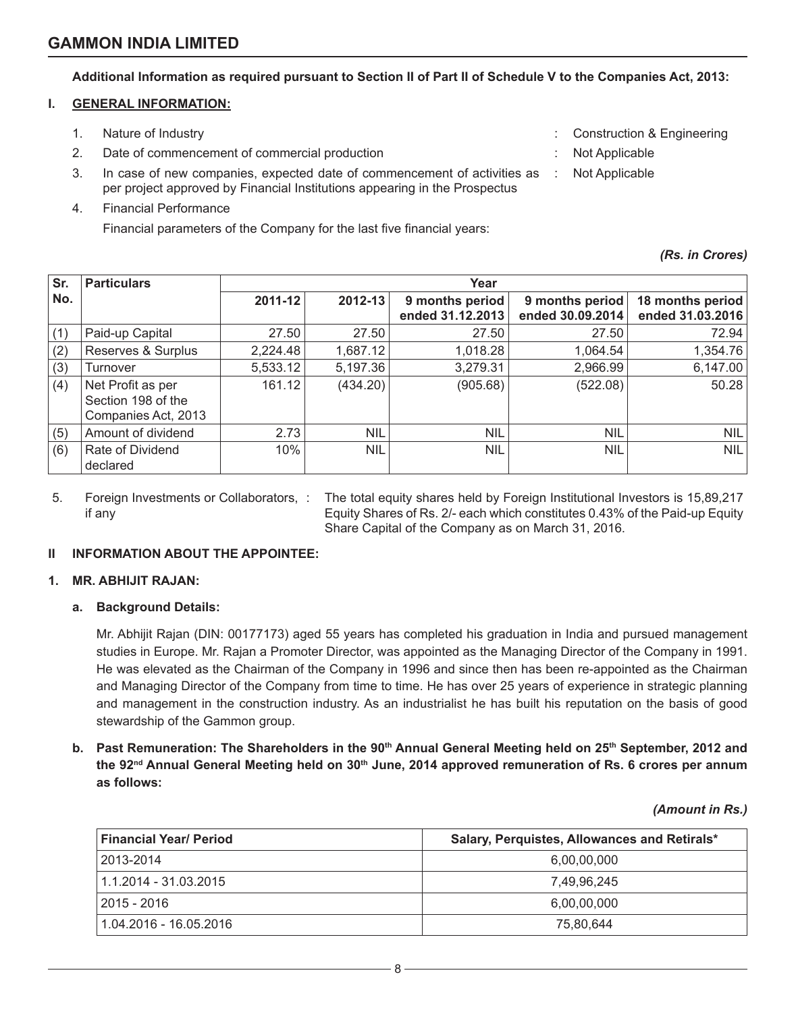**Additional Information as required pursuant to Section II of Part II of Schedule V to the Companies Act, 2013:**

### **I. GENERAL INFORMATION:**

- 1. Nature of Industry **State Construction & Engineering**  $\cdot$  Construction & Engineering
	- 2. Date of commencement of commercial production  $\cdot$  Not Applicable
	- 3. In case of new companies, expected date of commencement of activities as per project approved by Financial Institutions appearing in the Prospectus
	- 4. Financial Performance

Financial parameters of the Company for the last five financial years:

| <b>Construction &amp; Engineering</b> |  |  |
|---------------------------------------|--|--|
|                                       |  |  |

- 
- : Not Applicable

*(Rs. in Crores)*

| Sr.<br><b>Particulars</b><br>Year |                                                                |          |            |                                     |                                     |                                      |
|-----------------------------------|----------------------------------------------------------------|----------|------------|-------------------------------------|-------------------------------------|--------------------------------------|
| No.                               |                                                                | 2011-12  | 2012-13    | 9 months period<br>ended 31.12.2013 | 9 months period<br>ended 30.09.2014 | 18 months period<br>ended 31.03.2016 |
| (1)                               | Paid-up Capital                                                | 27.50    | 27.50      | 27.50                               | 27.50                               | 72.94                                |
| (2)                               | Reserves & Surplus                                             | 2,224.48 | 1,687.12   | 1,018.28                            | 1,064.54                            | 1,354.76                             |
| (3)                               | Turnover                                                       | 5,533.12 | 5,197.36   | 3,279.31                            | 2,966.99                            | 6,147.00                             |
| (4)                               | Net Profit as per<br>Section 198 of the<br>Companies Act, 2013 | 161.12   | (434.20)   | (905.68)                            | (522.08)                            | 50.28                                |
| (5)                               | Amount of dividend                                             | 2.73     | <b>NIL</b> | <b>NIL</b>                          | <b>NIL</b>                          | <b>NIL</b>                           |
| (6)                               | Rate of Dividend<br>declared                                   | 10%      | <b>NIL</b> | <b>NIL</b>                          | <b>NIL</b>                          | <b>NIL</b>                           |

5. Foreign Investments or Collaborators, if any

: The total equity shares held by Foreign Institutional Investors is 15,89,217 Equity Shares of Rs. 2/- each which constitutes 0.43% of the Paid-up Equity Share Capital of the Company as on March 31, 2016.

## **II INFORMATION ABOUT THE APPOINTEE:**

## **1. MR. ABHIJIT RAJAN:**

## **a. Background Details:**

Mr. Abhijit Rajan (DIN: 00177173) aged 55 years has completed his graduation in India and pursued management studies in Europe. Mr. Rajan a Promoter Director, was appointed as the Managing Director of the Company in 1991. He was elevated as the Chairman of the Company in 1996 and since then has been re-appointed as the Chairman and Managing Director of the Company from time to time. He has over 25 years of experience in strategic planning and management in the construction industry. As an industrialist he has built his reputation on the basis of good stewardship of the Gammon group.

**b.** Past Remuneration: The Shareholders in the 90<sup>th</sup> Annual General Meeting held on 25<sup>th</sup> September, 2012 and **the 92nd Annual General Meeting held on 30th June, 2014 approved remuneration of Rs. 6 crores per annum as follows:**

*(Amount in Rs.)*

| Financial Year/ Period | Salary, Perquistes, Allowances and Retirals* |
|------------------------|----------------------------------------------|
| 2013-2014              | 6,00,00,000                                  |
| 1.1.2014 - 31.03.2015  | 7.49.96.245                                  |
| 2015 - 2016            | 6,00,00,000                                  |
| 1.04.2016 - 16.05.2016 | 75.80.644                                    |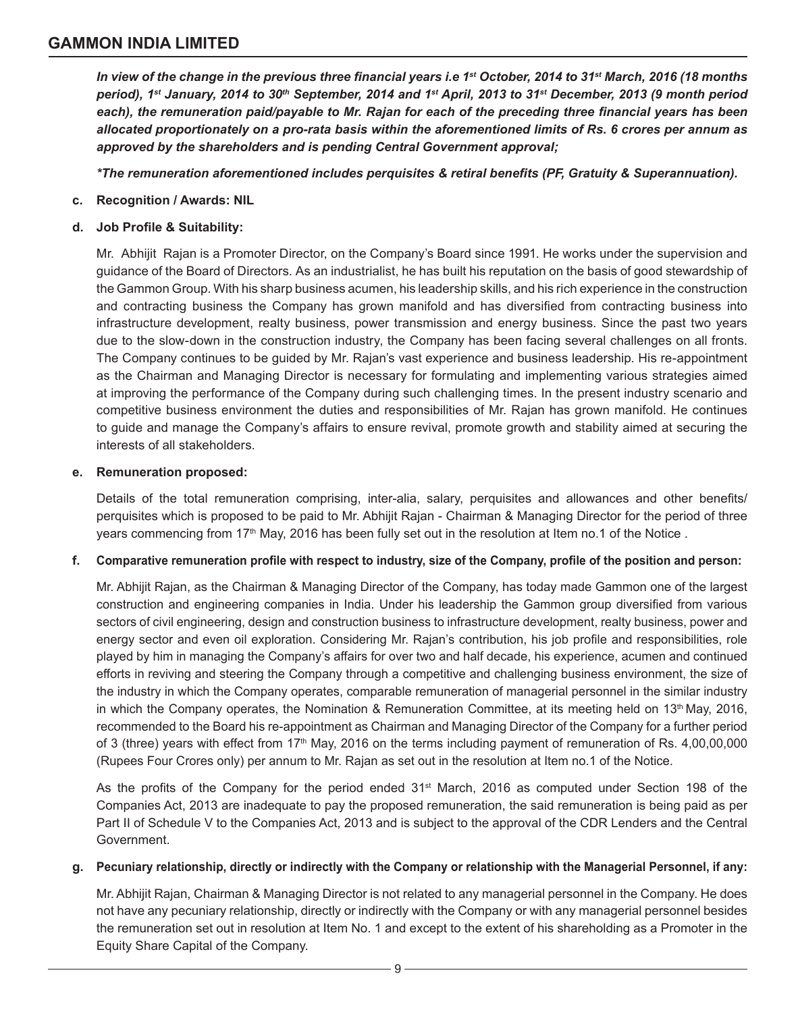*In view of the change in the previous three financial years i.e 1st October, 2014 to 31st March, 2016 (18 months period), 1st January, 2014 to 30th September, 2014 and 1st April, 2013 to 31st December, 2013 (9 month period each), the remuneration paid/payable to Mr. Rajan for each of the preceding three financial years has been allocated proportionately on a pro-rata basis within the aforementioned limits of Rs. 6 crores per annum as approved by the shareholders and is pending Central Government approval;*

*\*The remuneration aforementioned includes perquisites & retiral benefits (PF, Gratuity & Superannuation).*

- **c. Recognition / Awards: NIL**
- **d. Job Profile & Suitability:**

Mr. Abhijit Rajan is a Promoter Director, on the Company's Board since 1991. He works under the supervision and guidance of the Board of Directors. As an industrialist, he has built his reputation on the basis of good stewardship of the Gammon Group. With his sharp business acumen, his leadership skills, and his rich experience in the construction and contracting business the Company has grown manifold and has diversified from contracting business into infrastructure development, realty business, power transmission and energy business. Since the past two years due to the slow-down in the construction industry, the Company has been facing several challenges on all fronts. The Company continues to be guided by Mr. Rajan's vast experience and business leadership. His re-appointment as the Chairman and Managing Director is necessary for formulating and implementing various strategies aimed at improving the performance of the Company during such challenging times. In the present industry scenario and competitive business environment the duties and responsibilities of Mr. Rajan has grown manifold. He continues to guide and manage the Company's affairs to ensure revival, promote growth and stability aimed at securing the interests of all stakeholders.

### **e. Remuneration proposed:**

Details of the total remuneration comprising, inter-alia, salary, perquisites and allowances and other benefits/ perquisites which is proposed to be paid to Mr. Abhijit Rajan - Chairman & Managing Director for the period of three years commencing from 17<sup>th</sup> May, 2016 has been fully set out in the resolution at Item no.1 of the Notice.

### **f. Comparative remuneration profile with respect to industry, size of the Company, profile of the position and person:**

Mr. Abhijit Rajan, as the Chairman & Managing Director of the Company, has today made Gammon one of the largest construction and engineering companies in India. Under his leadership the Gammon group diversified from various sectors of civil engineering, design and construction business to infrastructure development, realty business, power and energy sector and even oil exploration. Considering Mr. Rajan's contribution, his job profile and responsibilities, role played by him in managing the Company's affairs for over two and half decade, his experience, acumen and continued efforts in reviving and steering the Company through a competitive and challenging business environment, the size of the industry in which the Company operates, comparable remuneration of managerial personnel in the similar industry in which the Company operates, the Nomination & Remuneration Committee, at its meeting held on 13<sup>th</sup> May, 2016, recommended to the Board his re-appointment as Chairman and Managing Director of the Company for a further period of 3 (three) years with effect from  $17<sup>th</sup>$  May, 2016 on the terms including payment of remuneration of Rs. 4,00,00,000 (Rupees Four Crores only) per annum to Mr. Rajan as set out in the resolution at Item no.1 of the Notice.

As the profits of the Company for the period ended 31<sup>st</sup> March, 2016 as computed under Section 198 of the Companies Act, 2013 are inadequate to pay the proposed remuneration, the said remuneration is being paid as per Part II of Schedule V to the Companies Act, 2013 and is subject to the approval of the CDR Lenders and the Central Government.

### **g. Pecuniary relationship, directly or indirectly with the Company or relationship with the Managerial Personnel, if any:**

Mr. Abhijit Rajan, Chairman & Managing Director is not related to any managerial personnel in the Company. He does not have any pecuniary relationship, directly or indirectly with the Company or with any managerial personnel besides the remuneration set out in resolution at Item No. 1 and except to the extent of his shareholding as a Promoter in the Equity Share Capital of the Company.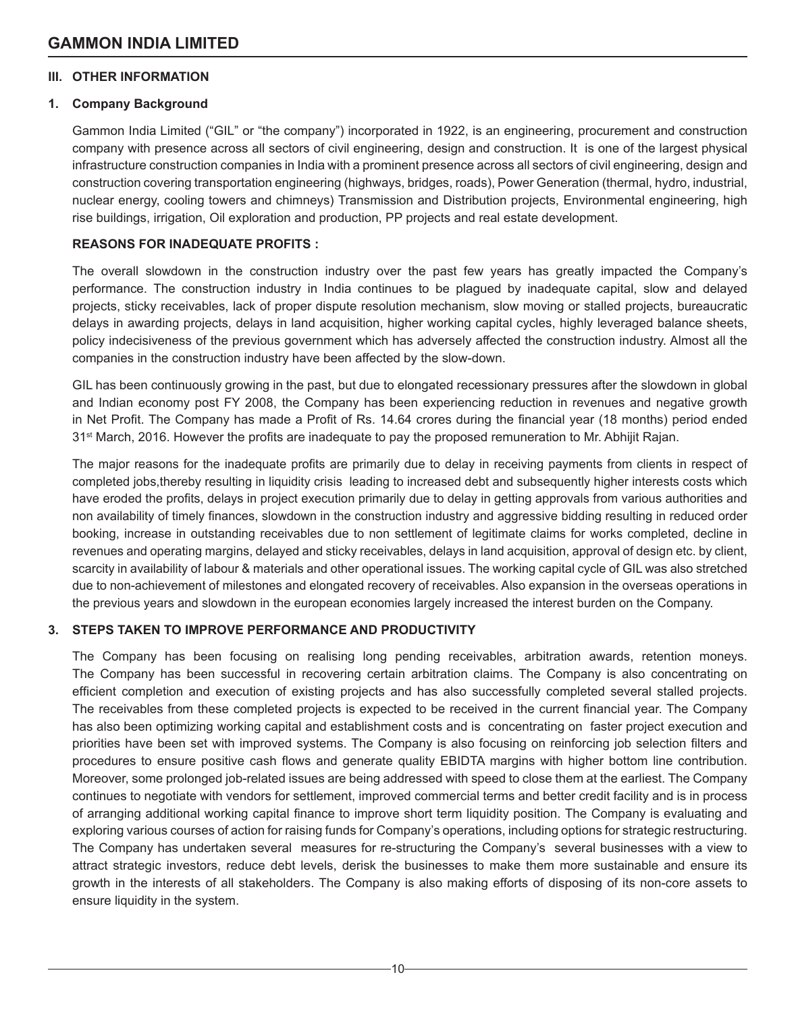## **III. OTHER INFORMATION**

## **1. Company Background**

Gammon India Limited ("GIL" or "the company") incorporated in 1922, is an engineering, procurement and construction company with presence across all sectors of civil engineering, design and construction. It is one of the largest physical infrastructure construction companies in India with a prominent presence across all sectors of civil engineering, design and construction covering transportation engineering (highways, bridges, roads), Power Generation (thermal, hydro, industrial, nuclear energy, cooling towers and chimneys) Transmission and Distribution projects, Environmental engineering, high rise buildings, irrigation, Oil exploration and production, PP projects and real estate development.

## **REASONS FOR INADEQUATE PROFITS :**

The overall slowdown in the construction industry over the past few years has greatly impacted the Company's performance. The construction industry in India continues to be plagued by inadequate capital, slow and delayed projects, sticky receivables, lack of proper dispute resolution mechanism, slow moving or stalled projects, bureaucratic delays in awarding projects, delays in land acquisition, higher working capital cycles, highly leveraged balance sheets, policy indecisiveness of the previous government which has adversely affected the construction industry. Almost all the companies in the construction industry have been affected by the slow-down.

GIL has been continuously growing in the past, but due to elongated recessionary pressures after the slowdown in global and Indian economy post FY 2008, the Company has been experiencing reduction in revenues and negative growth in Net Profit. The Company has made a Profit of Rs. 14.64 crores during the financial year (18 months) period ended 31<sup>st</sup> March, 2016. However the profits are inadequate to pay the proposed remuneration to Mr. Abhijit Rajan.

The major reasons for the inadequate profits are primarily due to delay in receiving payments from clients in respect of completed jobs,thereby resulting in liquidity crisis leading to increased debt and subsequently higher interests costs which have eroded the profits, delays in project execution primarily due to delay in getting approvals from various authorities and non availability of timely finances, slowdown in the construction industry and aggressive bidding resulting in reduced order booking, increase in outstanding receivables due to non settlement of legitimate claims for works completed, decline in revenues and operating margins, delayed and sticky receivables, delays in land acquisition, approval of design etc. by client, scarcity in availability of labour & materials and other operational issues. The working capital cycle of GIL was also stretched due to non-achievement of milestones and elongated recovery of receivables. Also expansion in the overseas operations in the previous years and slowdown in the european economies largely increased the interest burden on the Company.

## **3. STEPS TAKEN TO IMPROVE PERFORMANCE AND PRODUCTIVITY**

The Company has been focusing on realising long pending receivables, arbitration awards, retention moneys. The Company has been successful in recovering certain arbitration claims. The Company is also concentrating on efficient completion and execution of existing projects and has also successfully completed several stalled projects. The receivables from these completed projects is expected to be received in the current financial year. The Company has also been optimizing working capital and establishment costs and is concentrating on faster project execution and priorities have been set with improved systems. The Company is also focusing on reinforcing job selection filters and procedures to ensure positive cash flows and generate quality EBIDTA margins with higher bottom line contribution. Moreover, some prolonged job-related issues are being addressed with speed to close them at the earliest. The Company continues to negotiate with vendors for settlement, improved commercial terms and better credit facility and is in process of arranging additional working capital finance to improve short term liquidity position. The Company is evaluating and exploring various courses of action for raising funds for Company's operations, including options for strategic restructuring. The Company has undertaken several measures for re-structuring the Company's several businesses with a view to attract strategic investors, reduce debt levels, derisk the businesses to make them more sustainable and ensure its growth in the interests of all stakeholders. The Company is also making efforts of disposing of its non-core assets to ensure liquidity in the system.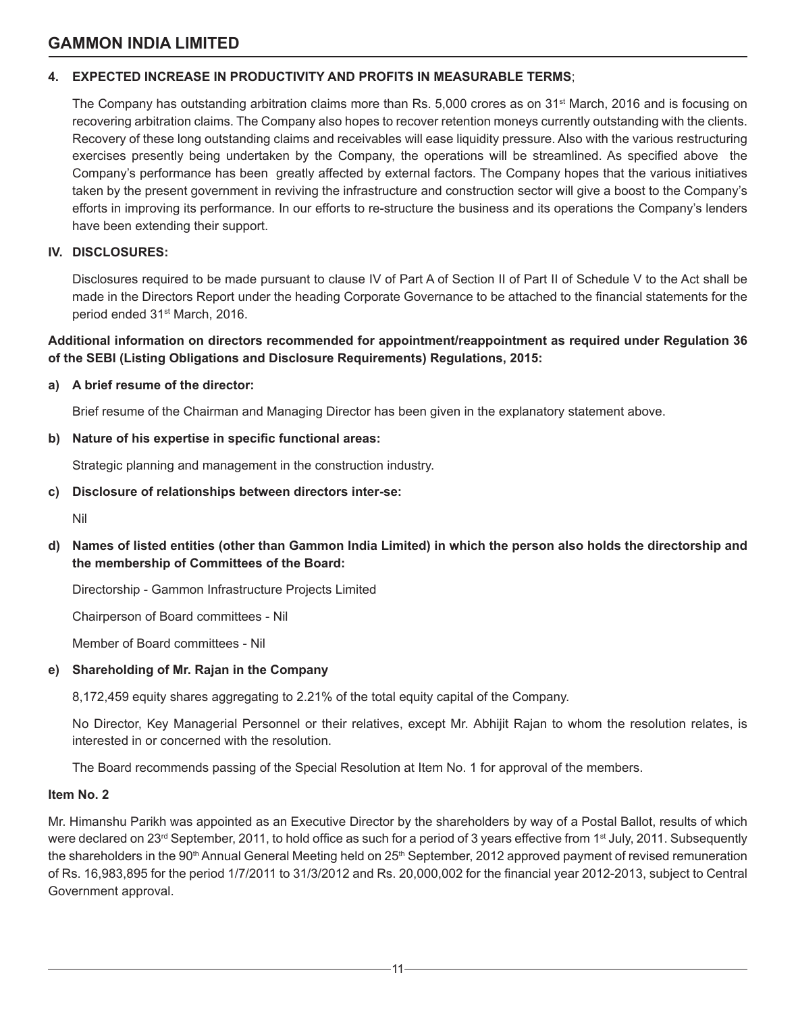### **4. EXPECTED INCREASE IN PRODUCTIVITY AND PROFITS IN MEASURABLE TERMS**;

The Company has outstanding arbitration claims more than Rs.  $5,000$  crores as on 31<sup>st</sup> March, 2016 and is focusing on recovering arbitration claims. The Company also hopes to recover retention moneys currently outstanding with the clients. Recovery of these long outstanding claims and receivables will ease liquidity pressure. Also with the various restructuring exercises presently being undertaken by the Company, the operations will be streamlined. As specified above the Company's performance has been greatly affected by external factors. The Company hopes that the various initiatives taken by the present government in reviving the infrastructure and construction sector will give a boost to the Company's efforts in improving its performance. In our efforts to re-structure the business and its operations the Company's lenders have been extending their support.

### **IV. DISCLOSURES:**

Disclosures required to be made pursuant to clause IV of Part A of Section II of Part II of Schedule V to the Act shall be made in the Directors Report under the heading Corporate Governance to be attached to the financial statements for the period ended 31st March, 2016.

### **Additional information on directors recommended for appointment/reappointment as required under Regulation 36 of the SEBI (Listing Obligations and Disclosure Requirements) Regulations, 2015:**

### **a) A brief resume of the director:**

Brief resume of the Chairman and Managing Director has been given in the explanatory statement above.

### **b) Nature of his expertise in specific functional areas:**

Strategic planning and management in the construction industry.

### **c) Disclosure of relationships between directors inter-se:**

Nil

**d) Names of listed entities (other than Gammon India Limited) in which the person also holds the directorship and the membership of Committees of the Board:**

Directorship - Gammon Infrastructure Projects Limited

Chairperson of Board committees - Nil

Member of Board committees - Nil

### **e) Shareholding of Mr. Rajan in the Company**

8,172,459 equity shares aggregating to 2.21% of the total equity capital of the Company.

No Director, Key Managerial Personnel or their relatives, except Mr. Abhijit Rajan to whom the resolution relates, is interested in or concerned with the resolution.

The Board recommends passing of the Special Resolution at Item No. 1 for approval of the members.

#### **Item No. 2**

Mr. Himanshu Parikh was appointed as an Executive Director by the shareholders by way of a Postal Ballot, results of which were declared on 23<sup>rd</sup> September, 2011, to hold office as such for a period of 3 years effective from 1<sup>st</sup> July, 2011. Subsequently the shareholders in the 90<sup>th</sup> Annual General Meeting held on 25<sup>th</sup> September, 2012 approved payment of revised remuneration of Rs. 16,983,895 for the period 1/7/2011 to 31/3/2012 and Rs. 20,000,002 for the financial year 2012-2013, subject to Central Government approval.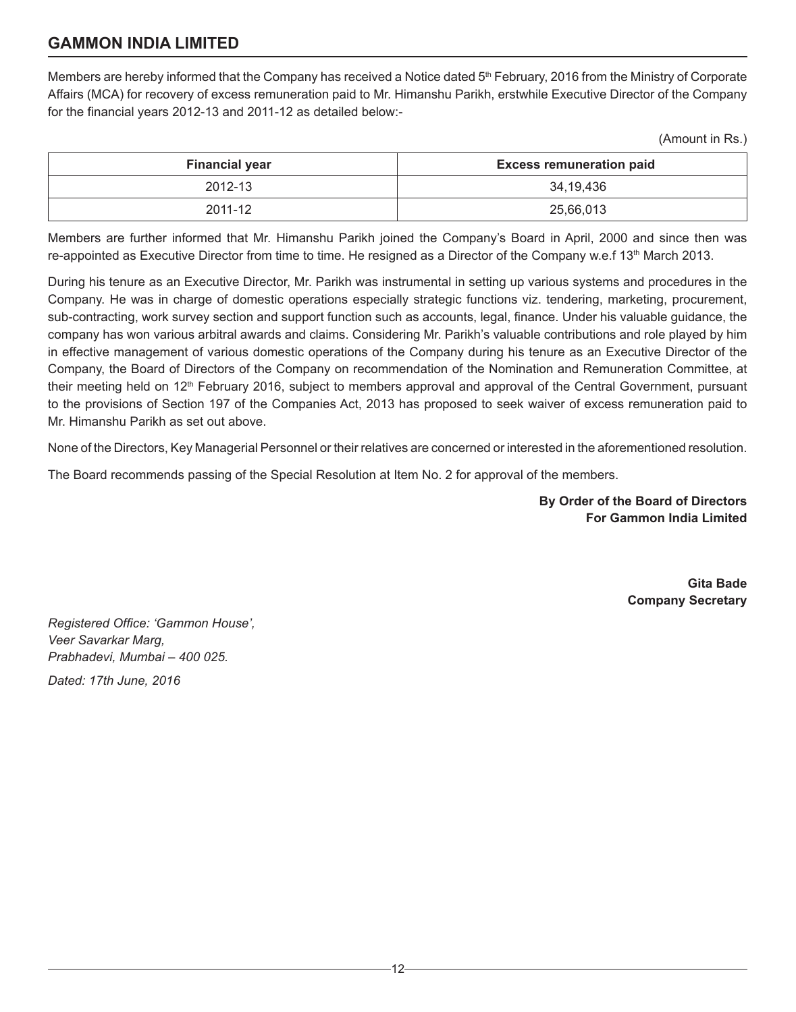Members are hereby informed that the Company has received a Notice dated 5<sup>th</sup> February, 2016 from the Ministry of Corporate Affairs (MCA) for recovery of excess remuneration paid to Mr. Himanshu Parikh, erstwhile Executive Director of the Company for the financial years 2012-13 and 2011-12 as detailed below:-

(Amount in Rs.)

| <b>Financial year</b> | <b>Excess remuneration paid</b> |
|-----------------------|---------------------------------|
| 2012-13               | 34,19,436                       |
| 2011-12               | 25,66,013                       |

Members are further informed that Mr. Himanshu Parikh joined the Company's Board in April, 2000 and since then was re-appointed as Executive Director from time to time. He resigned as a Director of the Company w.e.f 13<sup>th</sup> March 2013.

During his tenure as an Executive Director, Mr. Parikh was instrumental in setting up various systems and procedures in the Company. He was in charge of domestic operations especially strategic functions viz. tendering, marketing, procurement, sub-contracting, work survey section and support function such as accounts, legal, finance. Under his valuable guidance, the company has won various arbitral awards and claims. Considering Mr. Parikh's valuable contributions and role played by him in effective management of various domestic operations of the Company during his tenure as an Executive Director of the Company, the Board of Directors of the Company on recommendation of the Nomination and Remuneration Committee, at their meeting held on 12<sup>th</sup> February 2016, subject to members approval and approval of the Central Government, pursuant to the provisions of Section 197 of the Companies Act, 2013 has proposed to seek waiver of excess remuneration paid to Mr. Himanshu Parikh as set out above.

None of the Directors, Key Managerial Personnel or their relatives are concerned or interested in the aforementioned resolution.

The Board recommends passing of the Special Resolution at Item No. 2 for approval of the members.

**By Order of the Board of Directors For Gammon India Limited**

> **Gita Bade Company Secretary**

*Registered Office: 'Gammon House', Veer Savarkar Marg, Prabhadevi, Mumbai – 400 025.*

*Dated: 17th June, 2016*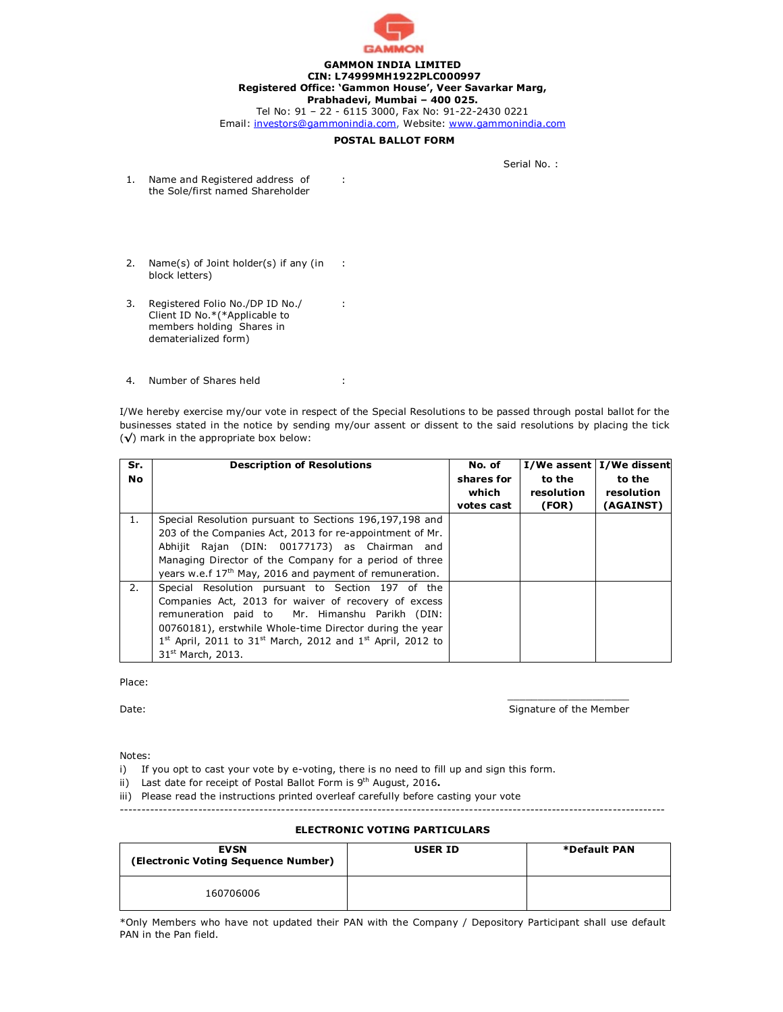

#### **GAMMON INDIA LIMITED CIN: L74999MH1922PLC000997 Registered Office: 'Gammon House', Veer Savarkar Marg, Prabhadevi, Mumbai – 400 025.**

Tel No: 91 – 22 - 6115 3000, Fax No: 91-22-2430 0221 Email: [investors@gammonindia.com,](mailto:investors@gammonindia.com,) Website: [www.gammonindia.com](http://www.gammonindia.com)

#### **POSTAL BALLOT FORM**

: KETAN ANANT AWALEGAONKAR##

Serial No. :

- 1. Name and Registered address of the Sole/first named Shareholder
- 2. Name(s) of Joint holder(s) if any (in : ## block letters)
- 3. Registered Folio No./DP ID No./ Client ID No.\*(\*Applicable to members holding Shares in dematerialized form)
- 4. Number of Shares held : 329

I/We hereby exercise my/our vote in respect of the Special Resolutions to be passed through postal ballot for the businesses stated in the notice by sending my/our assent or dissent to the said resolutions by placing the tick (**√**) mark in the appropriate box below:

: IN30154917879697##

| Sr.<br><b>No</b> | <b>Description of Resolutions</b>                                                                                                                                                                                                                                                                                                                   | No. of<br>shares for<br>which<br>votes cast | to the<br>resolution<br>(FOR) | I/We assent   I/We dissent<br>to the<br>resolution<br>(AGAINST) |
|------------------|-----------------------------------------------------------------------------------------------------------------------------------------------------------------------------------------------------------------------------------------------------------------------------------------------------------------------------------------------------|---------------------------------------------|-------------------------------|-----------------------------------------------------------------|
| 1.               | Special Resolution pursuant to Sections 196,197,198 and<br>203 of the Companies Act, 2013 for re-appointment of Mr.<br>Abhijit Rajan (DIN: 00177173) as Chairman and<br>Managing Director of the Company for a period of three<br>years w.e.f 17 <sup>th</sup> May, 2016 and payment of remuneration.                                               |                                             |                               |                                                                 |
| 2.               | Special Resolution pursuant to Section 197 of the<br>Companies Act, 2013 for waiver of recovery of excess<br>remuneration paid to Mr. Himanshu Parikh (DIN:<br>00760181), erstwhile Whole-time Director during the year<br>$1^{st}$ April, 2011 to 31 <sup>st</sup> March, 2012 and 1 <sup>st</sup> April, 2012 to<br>31 <sup>st</sup> March, 2013. |                                             |                               |                                                                 |

Place:

Date: Signature of the Member Contract of the Member Contract of the Member Contract of the Member Contract of the Member

Notes:

- i) If you opt to cast your vote by e-voting, there is no need to fill up and sign this form.
- ii) Last date for receipt of Postal Ballot Form is 9<sup>th</sup> August, 2016.

iii) Please read the instructions printed overleaf carefully before casting your vote

-----------------------------------------------------------------------------------------------------------------------------

 $\mathcal{L}_\mathcal{L}$  , which is a set of the set of the set of the set of the set of the set of the set of the set of the set of the set of the set of the set of the set of the set of the set of the set of the set of the set of

#### **ELECTRONIC VOTING PARTICULARS**

| <b>EVSN</b><br>(Electronic Voting Sequence Number) | <b>USER ID</b> | *Default PAN |
|----------------------------------------------------|----------------|--------------|
| 160706006                                          |                |              |

\*Only Members who have not updated their PAN with the Company / Depository Participant shall use default PAN in the Pan field.